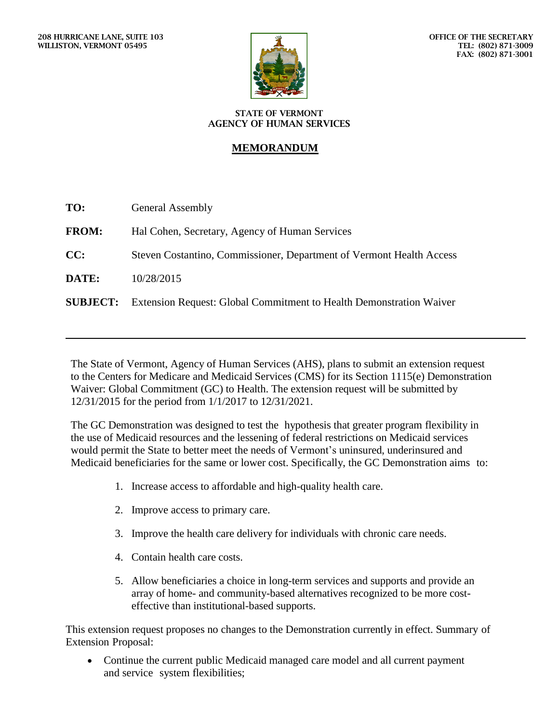

## **STATE OF VERMONT AGENCY OF HUMAN SERVICES**

## **MEMORANDUM**

| TO:          | <b>General Assembly</b>                                                             |
|--------------|-------------------------------------------------------------------------------------|
| <b>FROM:</b> | Hal Cohen, Secretary, Agency of Human Services                                      |
| CC:          | Steven Costantino, Commissioner, Department of Vermont Health Access                |
| DATE:        | 10/28/2015                                                                          |
|              | <b>SUBJECT:</b> Extension Request: Global Commitment to Health Demonstration Waiver |

The State of Vermont, Agency of Human Services (AHS), plans to submit an extension request to the Centers for Medicare and Medicaid Services (CMS) for its Section 1115(e) Demonstration Waiver: Global Commitment (GC) to Health. The extension request will be submitted by 12/31/2015 for the period from 1/1/2017 to 12/31/2021.

The GC Demonstration was designed to test the hypothesis that greater program flexibility in the use of Medicaid resources and the lessening of federal restrictions on Medicaid services would permit the State to better meet the needs of Vermont's uninsured, underinsured and Medicaid beneficiaries for the same or lower cost. Specifically, the GC Demonstration aims to:

- 1. Increase access to affordable and high-quality health care.
- 2. Improve access to primary care.
- 3. Improve the health care delivery for individuals with chronic care needs.
- 4. Contain health care costs.
- 5. Allow beneficiaries a choice in long-term services and supports and provide an array of home- and community-based alternatives recognized to be more costeffective than institutional-based supports.

This extension request proposes no changes to the Demonstration currently in effect. Summary of Extension Proposal:

 Continue the current public Medicaid managed care model and all current payment and service system flexibilities;